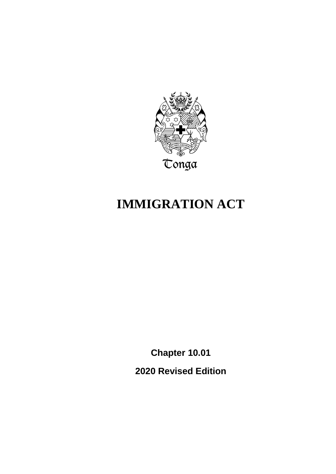

# **IMMIGRATION ACT**

**Chapter 10.01 2020 Revised Edition**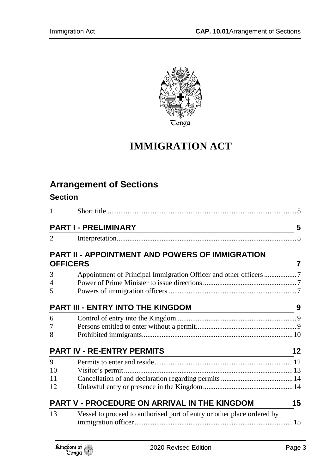

# **IMMIGRATION ACT**

# **Arrangement of Sections**

| <b>Section</b> |                                                                         |    |
|----------------|-------------------------------------------------------------------------|----|
| $\mathbf{1}$   |                                                                         |    |
|                | <b>PART I - PRELIMINARY</b>                                             | 5  |
| $\overline{2}$ |                                                                         |    |
|                | PART II - APPOINTMENT AND POWERS OF IMMIGRATION                         |    |
|                | <b>OFFICERS</b>                                                         | 7  |
| 3              |                                                                         |    |
| $\overline{4}$ |                                                                         |    |
| 5              |                                                                         |    |
|                | <b>PART III - ENTRY INTO THE KINGDOM</b>                                | 9  |
| 6              |                                                                         |    |
| 7              |                                                                         |    |
| 8              |                                                                         |    |
|                | <b>PART IV - RE-ENTRY PERMITS</b>                                       | 12 |
| 9              |                                                                         |    |
| 10             |                                                                         |    |
| 11             |                                                                         |    |
| 12             |                                                                         |    |
|                | <b>PART V - PROCEDURE ON ARRIVAL IN THE KINGDOM</b>                     | 15 |
| 13             | Vessel to proceed to authorised port of entry or other place ordered by |    |
|                |                                                                         |    |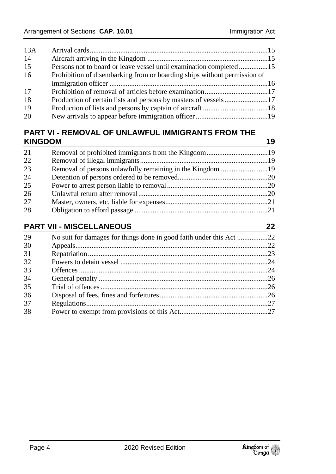| Persons not to board or leave vessel until examination completed15       |
|--------------------------------------------------------------------------|
| Prohibition of disembarking from or boarding ships without permission of |
|                                                                          |
|                                                                          |
|                                                                          |
|                                                                          |
|                                                                          |
|                                                                          |

### **PART VI - [REMOVAL OF UNLAWFUL IMMIGRANTS FROM THE](#page-18-1)  [KINGDOM](#page-18-1) 19**

| 21 |  |
|----|--|
| 22 |  |
| 23 |  |
| 24 |  |
| 25 |  |
| 26 |  |
| 27 |  |
| 28 |  |
|    |  |

### **PART VII - [MISCELLANEOUS](#page-21-0) 22**

| 29 | No suit for damages for things done in good faith under this Act 22 |  |
|----|---------------------------------------------------------------------|--|
| 30 |                                                                     |  |
| 31 |                                                                     |  |
| 32 |                                                                     |  |
| 33 |                                                                     |  |
| 34 |                                                                     |  |
| 35 |                                                                     |  |
| 36 |                                                                     |  |
| 37 |                                                                     |  |
| 38 |                                                                     |  |
|    |                                                                     |  |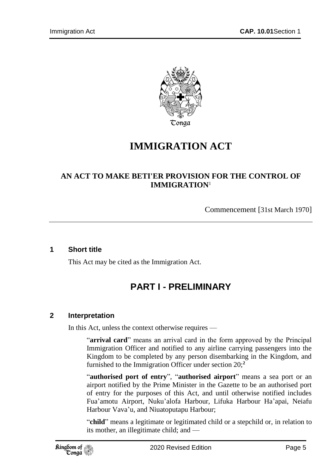

# **IMMIGRATION ACT**

### **AN ACT TO MAKE BETI'ER PROVISION FOR THE CONTROL OF IMMIGRATION**<sup>1</sup>

Commencement [31st March 1970]

#### <span id="page-4-1"></span><span id="page-4-0"></span>**1 Short title**

This Act may be cited as the Immigration Act.

## **PART I - PRELIMINARY**

#### <span id="page-4-2"></span>**2 Interpretation**

In this Act, unless the context otherwise requires —

"**arrival card**" means an arrival card in the form approved by the Principal Immigration Officer and notified to any airline carrying passengers into the Kingdom to be completed by any person disembarking in the Kingdom, and furnished to the Immigration Officer under section 20;**<sup>2</sup>**

"**authorised port of entry**", "**authorised airport**" means a sea port or an airport notified by the Prime Minister in the Gazette to be an authorised port of entry for the purposes of this Act, and until otherwise notified includes Fua'amotu Airport, Nuku'alofa Harbour, Lifuka Harbour Ha'apai, Neiafu Harbour Vava'u, and Niuatoputapu Harbour;

"**child**" means a legitimate or legitimated child or a stepchild or, in relation to its mother, an illegitimate child; and —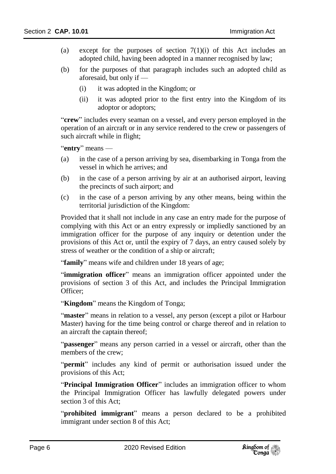- (a) except for the purposes of section  $7(1)(i)$  of this Act includes an adopted child, having been adopted in a manner recognised by law;
- (b) for the purposes of that paragraph includes such an adopted child as aforesaid, but only if —
	- (i) it was adopted in the Kingdom; or
	- (ii) it was adopted prior to the first entry into the Kingdom of its adoptor or adoptors;

"**crew**" includes every seaman on a vessel, and every person employed in the operation of an aircraft or in any service rendered to the crew or passengers of such aircraft while in flight;

"**entry**" means —

- (a) in the case of a person arriving by sea, disembarking in Tonga from the vessel in which he arrives; and
- (b) in the case of a person arriving by air at an authorised airport, leaving the precincts of such airport; and
- (c) in the case of a person arriving by any other means, being within the territorial jurisdiction of the Kingdom:

Provided that it shall not include in any case an entry made for the purpose of complying with this Act or an entry expressly or impliedly sanctioned by an immigration officer for the purpose of any inquiry or detention under the provisions of this Act or, until the expiry of 7 days, an entry caused solely by stress of weather or the condition of a ship or aircraft;

"**family**" means wife and children under 18 years of age;

"**immigration officer**" means an immigration officer appointed under the provisions of section 3 of this Act, and includes the Principal Immigration Officer;

"**Kingdom**" means the Kingdom of Tonga;

"master" means in relation to a vessel, any person (except a pilot or Harbour Master) having for the time being control or charge thereof and in relation to an aircraft the captain thereof;

"**passenger**" means any person carried in a vessel or aircraft, other than the members of the crew;

"**permit**" includes any kind of permit or authorisation issued under the provisions of this Act;

"**Principal Immigration Officer**" includes an immigration officer to whom the Principal Immigration Officer has lawfully delegated powers under section 3 of this Act;

"**prohibited immigrant**" means a person declared to be a prohibited immigrant under section 8 of this Act;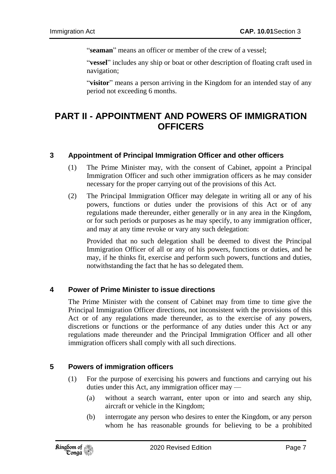"**seaman**" means an officer or member of the crew of a vessel;

"**vessel**" includes any ship or boat or other description of floating craft used in navigation;

"**visitor**" means a person arriving in the Kingdom for an intended stay of any period not exceeding 6 months.

### <span id="page-6-0"></span>**PART II - APPOINTMENT AND POWERS OF IMMIGRATION OFFICERS**

#### <span id="page-6-1"></span>**3 Appointment of Principal Immigration Officer and other officers**

- (1) The Prime Minister may, with the consent of Cabinet, appoint a Principal Immigration Officer and such other immigration officers as he may consider necessary for the proper carrying out of the provisions of this Act.
- (2) The Principal Immigration Officer may delegate in writing all or any of his powers, functions or duties under the provisions of this Act or of any regulations made thereunder, either generally or in any area in the Kingdom, or for such periods or purposes as he may specify, to any immigration officer, and may at any time revoke or vary any such delegation:

Provided that no such delegation shall be deemed to divest the Principal Immigration Officer of all or any of his powers, functions or duties, and he may, if he thinks fit, exercise and perform such powers, functions and duties, notwithstanding the fact that he has so delegated them.

#### <span id="page-6-2"></span>**4 Power of Prime Minister to issue directions**

The Prime Minister with the consent of Cabinet may from time to time give the Principal Immigration Officer directions, not inconsistent with the provisions of this Act or of any regulations made thereunder, as to the exercise of any powers, discretions or functions or the performance of any duties under this Act or any regulations made thereunder and the Principal Immigration Officer and all other immigration officers shall comply with all such directions.

#### <span id="page-6-3"></span>**5 Powers of immigration officers**

- (1) For the purpose of exercising his powers and functions and carrying out his duties under this Act, any immigration officer may —
	- (a) without a search warrant, enter upon or into and search any ship, aircraft or vehicle in the Kingdom;
	- (b) interrogate any person who desires to enter the Kingdom, or any person whom he has reasonable grounds for believing to be a prohibited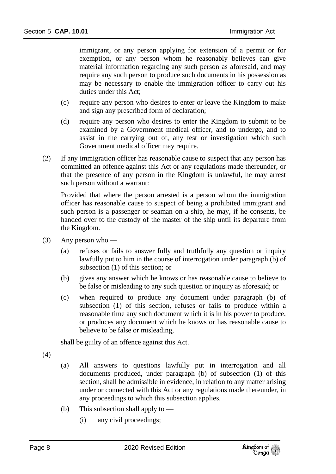immigrant, or any person applying for extension of a permit or for exemption, or any person whom he reasonably believes can give material information regarding any such person as aforesaid, and may require any such person to produce such documents in his possession as may be necessary to enable the immigration officer to carry out his duties under this Act;

- (c) require any person who desires to enter or leave the Kingdom to make and sign any prescribed form of declaration;
- (d) require any person who desires to enter the Kingdom to submit to be examined by a Government medical officer, and to undergo, and to assist in the carrying out of, any test or investigation which such Government medical officer may require.
- (2) If any immigration officer has reasonable cause to suspect that any person has committed an offence against this Act or any regulations made thereunder, or that the presence of any person in the Kingdom is unlawful, he may arrest such person without a warrant:

Provided that where the person arrested is a person whom the immigration officer has reasonable cause to suspect of being a prohibited immigrant and such person is a passenger or seaman on a ship, he may, if he consents, be handed over to the custody of the master of the ship until its departure from the Kingdom.

- (3) Any person who
	- (a) refuses or fails to answer fully and truthfully any question or inquiry lawfully put to him in the course of interrogation under paragraph (b) of subsection (1) of this section; or
	- (b) gives any answer which he knows or has reasonable cause to believe to be false or misleading to any such question or inquiry as aforesaid; or
	- (c) when required to produce any document under paragraph (b) of subsection (1) of this section, refuses or fails to produce within a reasonable time any such document which it is in his power to produce, or produces any document which he knows or has reasonable cause to believe to be false or misleading,

shall be guilty of an offence against this Act.

(4)

- (a) All answers to questions lawfully put in interrogation and all documents produced, under paragraph (b) of subsection (1) of this section, shall be admissible in evidence, in relation to any matter arising under or connected with this Act or any regulations made thereunder, in any proceedings to which this subsection applies.
- (b) This subsection shall apply to
	- (i) any civil proceedings;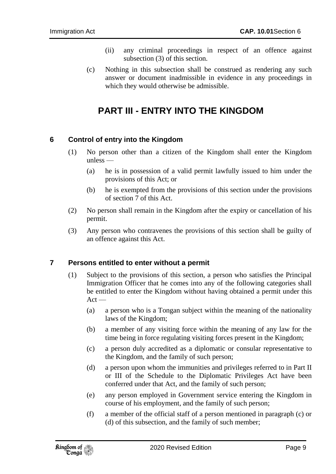- (ii) any criminal proceedings in respect of an offence against subsection (3) of this section.
- (c) Nothing in this subsection shall be construed as rendering any such answer or document inadmissible in evidence in any proceedings in which they would otherwise be admissible.

## **PART III - ENTRY INTO THE KINGDOM**

#### <span id="page-8-1"></span><span id="page-8-0"></span>**6 Control of entry into the Kingdom**

- (1) No person other than a citizen of the Kingdom shall enter the Kingdom unless —
	- (a) he is in possession of a valid permit lawfully issued to him under the provisions of this Act; or
	- (b) he is exempted from the provisions of this section under the provisions of section 7 of this Act.
- (2) No person shall remain in the Kingdom after the expiry or cancellation of his permit.
- (3) Any person who contravenes the provisions of this section shall be guilty of an offence against this Act.

#### <span id="page-8-2"></span>**7 Persons entitled to enter without a permit**

- (1) Subject to the provisions of this section, a person who satisfies the Principal Immigration Officer that he comes into any of the following categories shall be entitled to enter the Kingdom without having obtained a permit under this  $Act -$ 
	- (a) a person who is a Tongan subject within the meaning of the nationality laws of the Kingdom;
	- (b) a member of any visiting force within the meaning of any law for the time being in force regulating visiting forces present in the Kingdom;
	- (c) a person duly accredited as a diplomatic or consular representative to the Kingdom, and the family of such person;
	- (d) a person upon whom the immunities and privileges referred to in Part II or III of the Schedule to the Diplomatic Privileges Act have been conferred under that Act, and the family of such person;
	- (e) any person employed in Government service entering the Kingdom in course of his employment, and the family of such person;
	- (f) a member of the official staff of a person mentioned in paragraph (c) or (d) of this subsection, and the family of such member;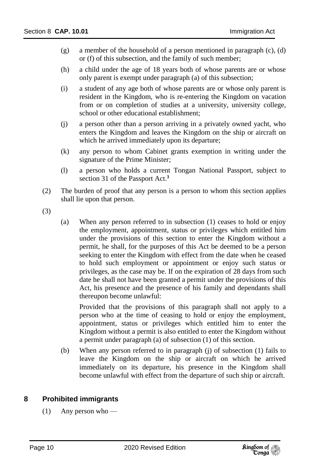- (g) a member of the household of a person mentioned in paragraph (c), (d) or (f) of this subsection, and the family of such member;
- (h) a child under the age of 18 years both of whose parents are or whose only parent is exempt under paragraph (a) of this subsection;
- (i) a student of any age both of whose parents are or whose only parent is resident in the Kingdom, who is re-entering the Kingdom on vacation from or on completion of studies at a university, university college, school or other educational establishment;
- (j) a person other than a person arriving in a privately owned yacht, who enters the Kingdom and leaves the Kingdom on the ship or aircraft on which he arrived immediately upon its departure;
- (k) any person to whom Cabinet grants exemption in writing under the signature of the Prime Minister;
- (l) a person who holds a current Tongan National Passport, subject to section 31 of the Passport Act.**<sup>3</sup>**
- (2) The burden of proof that any person is a person to whom this section applies shall lie upon that person.
- (3)
- (a) When any person referred to in subsection (1) ceases to hold or enjoy the employment, appointment, status or privileges which entitled him under the provisions of this section to enter the Kingdom without a permit, he shall, for the purposes of this Act be deemed to be a person seeking to enter the Kingdom with effect from the date when he ceased to hold such employment or appointment or enjoy such status or privileges, as the case may be. If on the expiration of 28 days from such date he shall not have been granted a permit under the provisions of this Act, his presence and the presence of his family and dependants shall thereupon become unlawful:

Provided that the provisions of this paragraph shall not apply to a person who at the time of ceasing to hold or enjoy the employment, appointment, status or privileges which entitled him to enter the Kingdom without a permit is also entitled to enter the Kingdom without a permit under paragraph (a) of subsection (1) of this section.

(b) When any person referred to in paragraph (j) of subsection (1) fails to leave the Kingdom on the ship or aircraft on which he arrived immediately on its departure, his presence in the Kingdom shall become unlawful with effect from the departure of such ship or aircraft.

#### <span id="page-9-0"></span>**8 Prohibited immigrants**

(1) Any person who —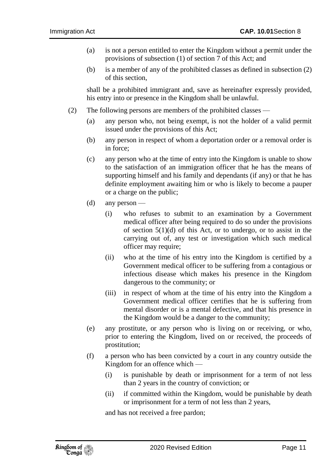- (a) is not a person entitled to enter the Kingdom without a permit under the provisions of subsection (1) of section 7 of this Act; and
- (b) is a member of any of the prohibited classes as defined in subsection (2) of this section,

shall be a prohibited immigrant and, save as hereinafter expressly provided, his entry into or presence in the Kingdom shall be unlawful.

- (2) The following persons are members of the prohibited classes
	- (a) any person who, not being exempt, is not the holder of a valid permit issued under the provisions of this Act;
	- (b) any person in respect of whom a deportation order or a removal order is in force;
	- (c) any person who at the time of entry into the Kingdom is unable to show to the satisfaction of an immigration officer that he has the means of supporting himself and his family and dependants (if any) or that he has definite employment awaiting him or who is likely to become a pauper or a charge on the public;
	- (d) any person
		- (i) who refuses to submit to an examination by a Government medical officer after being required to do so under the provisions of section  $5(1)(d)$  of this Act, or to undergo, or to assist in the carrying out of, any test or investigation which such medical officer may require;
		- (ii) who at the time of his entry into the Kingdom is certified by a Government medical officer to be suffering from a contagious or infectious disease which makes his presence in the Kingdom dangerous to the community; or
		- (iii) in respect of whom at the time of his entry into the Kingdom a Government medical officer certifies that he is suffering from mental disorder or is a mental defective, and that his presence in the Kingdom would be a danger to the community;
	- (e) any prostitute, or any person who is living on or receiving, or who, prior to entering the Kingdom, lived on or received, the proceeds of prostitution;
	- (f) a person who has been convicted by a court in any country outside the Kingdom for an offence which —
		- (i) is punishable by death or imprisonment for a term of not less than 2 years in the country of conviction; or
		- (ii) if committed within the Kingdom, would be punishable by death or imprisonment for a term of not less than 2 years,

and has not received a free pardon;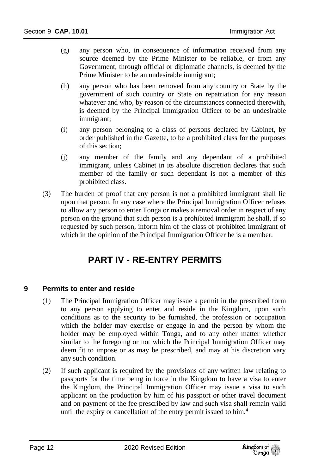- (g) any person who, in consequence of information received from any source deemed by the Prime Minister to be reliable, or from any Government, through official or diplomatic channels, is deemed by the Prime Minister to be an undesirable immigrant;
- (h) any person who has been removed from any country or State by the government of such country or State on repatriation for any reason whatever and who, by reason of the circumstances connected therewith, is deemed by the Principal Immigration Officer to be an undesirable immigrant;
- (i) any person belonging to a class of persons declared by Cabinet, by order published in the Gazette, to be a prohibited class for the purposes of this section;
- (j) any member of the family and any dependant of a prohibited immigrant, unless Cabinet in its absolute discretion declares that such member of the family or such dependant is not a member of this prohibited class.
- (3) The burden of proof that any person is not a prohibited immigrant shall lie upon that person. In any case where the Principal Immigration Officer refuses to allow any person to enter Tonga or makes a removal order in respect of any person on the ground that such person is a prohibited immigrant he shall, if so requested by such person, inform him of the class of prohibited immigrant of which in the opinion of the Principal Immigration Officer he is a member.

## **PART IV - RE-ENTRY PERMITS**

#### <span id="page-11-1"></span><span id="page-11-0"></span>**9 Permits to enter and reside**

- (1) The Principal Immigration Officer may issue a permit in the prescribed form to any person applying to enter and reside in the Kingdom, upon such conditions as to the security to be furnished, the profession or occupation which the holder may exercise or engage in and the person by whom the holder may be employed within Tonga, and to any other matter whether similar to the foregoing or not which the Principal Immigration Officer may deem fit to impose or as may be prescribed, and may at his discretion vary any such condition.
- (2) If such applicant is required by the provisions of any written law relating to passports for the time being in force in the Kingdom to have a visa to enter the Kingdom, the Principal Immigration Officer may issue a visa to such applicant on the production by him of his passport or other travel document and on payment of the fee prescribed by law and such visa shall remain valid until the expiry or cancellation of the entry permit issued to him.**4**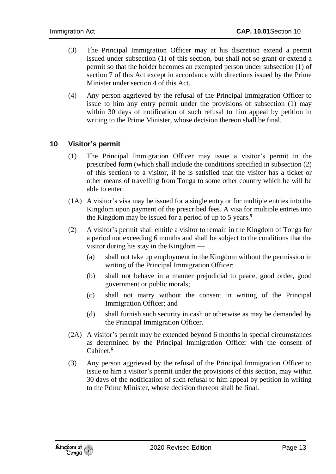- (3) The Principal Immigration Officer may at his discretion extend a permit issued under subsection (1) of this section, but shall not so grant or extend a permit so that the holder becomes an exempted person under subsection (1) of section 7 of this Act except in accordance with directions issued by the Prime Minister under section 4 of this Act.
- (4) Any person aggrieved by the refusal of the Principal Immigration Officer to issue to him any entry permit under the provisions of subsection (1) may within 30 days of notification of such refusal to him appeal by petition in writing to the Prime Minister, whose decision thereon shall be final.

#### <span id="page-12-0"></span>**10 Visitor's permit**

- (1) The Principal Immigration Officer may issue a visitor's permit in the prescribed form (which shall include the conditions specified in subsection (2) of this section) to a visitor, if he is satisfied that the visitor has a ticket or other means of travelling from Tonga to some other country which he will be able to enter.
- (1A) A visitor's visa may be issued for a single entry or for multiple entries into the Kingdom upon payment of the prescribed fees. A visa for multiple entries into the Kingdom may be issued for a period of up to 5 years.**<sup>5</sup>**
- (2) A visitor's permit shall entitle a visitor to remain in the Kingdom of Tonga for a period not exceeding 6 months and shall be subject to the conditions that the visitor during his stay in the Kingdom —
	- (a) shall not take up employment in the Kingdom without the permission in writing of the Principal Immigration Officer;
	- (b) shall not behave in a manner prejudicial to peace, good order, good government or public morals;
	- (c) shall not marry without the consent in writing of the Principal Immigration Officer; and
	- (d) shall furnish such security in cash or otherwise as may be demanded by the Principal Immigration Officer.
- (2A) A visitor's permit may be extended beyond 6 months in special circumstances as determined by the Principal Immigration Officer with the consent of Cabinet.**<sup>6</sup>**
- (3) Any person aggrieved by the refusal of the Principal Immigration Officer to issue to him a visitor's permit under the provisions of this section, may within 30 days of the notification of such refusal to him appeal by petition in writing to the Prime Minister, whose decision thereon shall be final.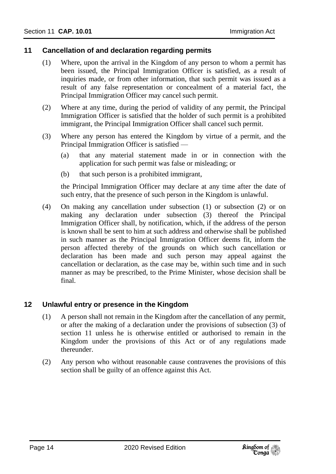#### <span id="page-13-0"></span>**11 Cancellation of and declaration regarding permits**

- (1) Where, upon the arrival in the Kingdom of any person to whom a permit has been issued, the Principal Immigration Officer is satisfied, as a result of inquiries made, or from other information, that such permit was issued as a result of any false representation or concealment of a material fact, the Principal Immigration Officer may cancel such permit.
- (2) Where at any time, during the period of validity of any permit, the Principal Immigration Officer is satisfied that the holder of such permit is a prohibited immigrant, the Principal Immigration Officer shall cancel such permit.
- (3) Where any person has entered the Kingdom by virtue of a permit, and the Principal Immigration Officer is satisfied —
	- (a) that any material statement made in or in connection with the application for such permit was false or misleading; or
	- (b) that such person is a prohibited immigrant,

the Principal Immigration Officer may declare at any time after the date of such entry, that the presence of such person in the Kingdom is unlawful.

(4) On making any cancellation under subsection (1) or subsection (2) or on making any declaration under subsection (3) thereof the Principal Immigration Officer shall, by notification, which, if the address of the person is known shall be sent to him at such address and otherwise shall be published in such manner as the Principal Immigration Officer deems fit, inform the person affected thereby of the grounds on which such cancellation or declaration has been made and such person may appeal against the cancellation or declaration, as the case may be, within such time and in such manner as may be prescribed, to the Prime Minister, whose decision shall be final.

#### <span id="page-13-1"></span>**12 Unlawful entry or presence in the Kingdom**

- (1) A person shall not remain in the Kingdom after the cancellation of any permit, or after the making of a declaration under the provisions of subsection (3) of section 11 unless he is otherwise entitled or authorised to remain in the Kingdom under the provisions of this Act or of any regulations made thereunder.
- (2) Any person who without reasonable cause contravenes the provisions of this section shall be guilty of an offence against this Act.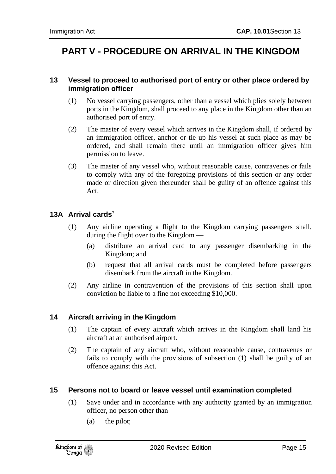# <span id="page-14-0"></span>**PART V - PROCEDURE ON ARRIVAL IN THE KINGDOM**

#### <span id="page-14-1"></span>**13 Vessel to proceed to authorised port of entry or other place ordered by immigration officer**

- (1) No vessel carrying passengers, other than a vessel which plies solely between ports in the Kingdom, shall proceed to any place in the Kingdom other than an authorised port of entry.
- (2) The master of every vessel which arrives in the Kingdom shall, if ordered by an immigration officer, anchor or tie up his vessel at such place as may be ordered, and shall remain there until an immigration officer gives him permission to leave.
- (3) The master of any vessel who, without reasonable cause, contravenes or fails to comply with any of the foregoing provisions of this section or any order made or direction given thereunder shall be guilty of an offence against this Act.

#### <span id="page-14-2"></span>**13A Arrival cards**<sup>7</sup>

- (1) Any airline operating a flight to the Kingdom carrying passengers shall, during the flight over to the Kingdom —
	- (a) distribute an arrival card to any passenger disembarking in the Kingdom; and
	- (b) request that all arrival cards must be completed before passengers disembark from the aircraft in the Kingdom.
- (2) Any airline in contravention of the provisions of this section shall upon conviction be liable to a fine not exceeding \$10,000.

#### <span id="page-14-3"></span>**14 Aircraft arriving in the Kingdom**

- (1) The captain of every aircraft which arrives in the Kingdom shall land his aircraft at an authorised airport.
- (2) The captain of any aircraft who, without reasonable cause, contravenes or fails to comply with the provisions of subsection (1) shall be guilty of an offence against this Act.

#### <span id="page-14-4"></span>**15 Persons not to board or leave vessel until examination completed**

- (1) Save under and in accordance with any authority granted by an immigration officer, no person other than —
	- (a) the pilot;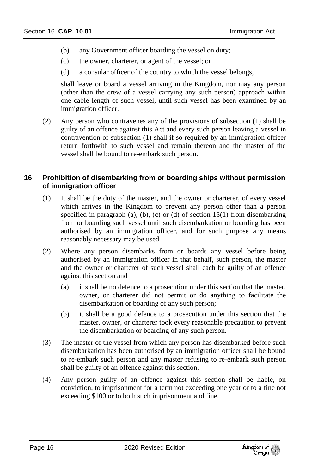- (b) any Government officer boarding the vessel on duty;
- (c) the owner, charterer, or agent of the vessel; or
- (d) a consular officer of the country to which the vessel belongs,

shall leave or board a vessel arriving in the Kingdom, nor may any person (other than the crew of a vessel carrying any such person) approach within one cable length of such vessel, until such vessel has been examined by an immigration officer.

(2) Any person who contravenes any of the provisions of subsection (1) shall be guilty of an offence against this Act and every such person leaving a vessel in contravention of subsection (1) shall if so required by an immigration officer return forthwith to such vessel and remain thereon and the master of the vessel shall be bound to re-embark such person.

#### <span id="page-15-0"></span>**16 Prohibition of disembarking from or boarding ships without permission of immigration officer**

- (1) It shall be the duty of the master, and the owner or charterer, of every vessel which arrives in the Kingdom to prevent any person other than a person specified in paragraph (a), (b), (c) or (d) of section 15(1) from disembarking from or boarding such vessel until such disembarkation or boarding has been authorised by an immigration officer, and for such purpose any means reasonably necessary may be used.
- (2) Where any person disembarks from or boards any vessel before being authorised by an immigration officer in that behalf, such person, the master and the owner or charterer of such vessel shall each be guilty of an offence against this section and —
	- (a) it shall be no defence to a prosecution under this section that the master, owner, or charterer did not permit or do anything to facilitate the disembarkation or boarding of any such person;
	- (b) it shall be a good defence to a prosecution under this section that the master, owner, or charterer took every reasonable precaution to prevent the disembarkation or boarding of any such person.
- (3) The master of the vessel from which any person has disembarked before such disembarkation has been authorised by an immigration officer shall be bound to re-embark such person and any master refusing to re-embark such person shall be guilty of an offence against this section.
- (4) Any person guilty of an offence against this section shall be liable, on conviction, to imprisonment for a term not exceeding one year or to a fine not exceeding \$100 or to both such imprisonment and fine.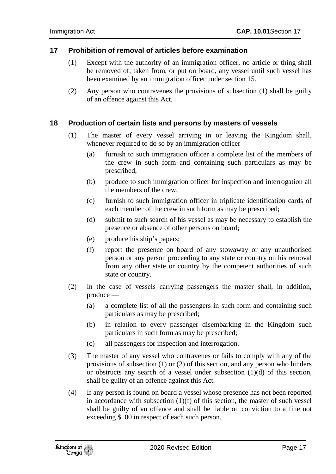#### <span id="page-16-0"></span>**17 Prohibition of removal of articles before examination**

- (1) Except with the authority of an immigration officer, no article or thing shall be removed of, taken from, or put on board, any vessel until such vessel has been examined by an immigration officer under section 15.
- (2) Any person who contravenes the provisions of subsection (1) shall be guilty of an offence against this Act.

#### <span id="page-16-1"></span>**18 Production of certain lists and persons by masters of vessels**

- (1) The master of every vessel arriving in or leaving the Kingdom shall, whenever required to do so by an immigration officer —
	- (a) furnish to such immigration officer a complete list of the members of the crew in such form and containing such particulars as may be prescribed;
	- (b) produce to such immigration officer for inspection and interrogation all the members of the crew;
	- (c) furnish to such immigration officer in triplicate identification cards of each member of the crew in such form as may be prescribed;
	- (d) submit to such search of his vessel as may be necessary to establish the presence or absence of other persons on board;
	- (e) produce his ship's papers;
	- (f) report the presence on board of any stowaway or any unauthorised person or any person proceeding to any state or country on his removal from any other state or country by the competent authorities of such state or country.
- (2) In the case of vessels carrying passengers the master shall, in addition, produce —
	- (a) a complete list of all the passengers in such form and containing such particulars as may be prescribed;
	- (b) in relation to every passenger disembarking in the Kingdom such particulars in such form as may be prescribed;
	- (c) all passengers for inspection and interrogation.
- (3) The master of any vessel who contravenes or fails to comply with any of the provisions of subsection (1) or (2) of this section, and any person who hinders or obstructs any search of a vessel under subsection (1)(d) of this section, shall be guilty of an offence against this Act.
- (4) If any person is found on board a vessel whose presence has not been reported in accordance with subsection (1)(f) of this section, the master of such vessel shall be guilty of an offence and shall be liable on conviction to a fine not exceeding \$100 in respect of each such person.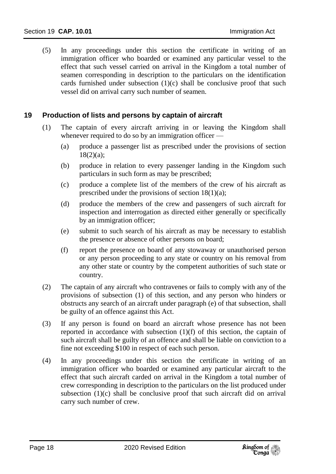(5) In any proceedings under this section the certificate in writing of an immigration officer who boarded or examined any particular vessel to the effect that such vessel carried on arrival in the Kingdom a total number of seamen corresponding in description to the particulars on the identification cards furnished under subsection  $(1)(c)$  shall be conclusive proof that such vessel did on arrival carry such number of seamen.

#### <span id="page-17-0"></span>**19 Production of lists and persons by captain of aircraft**

- (1) The captain of every aircraft arriving in or leaving the Kingdom shall whenever required to do so by an immigration officer —
	- (a) produce a passenger list as prescribed under the provisions of section  $18(2)(a)$ ;
	- (b) produce in relation to every passenger landing in the Kingdom such particulars in such form as may be prescribed;
	- (c) produce a complete list of the members of the crew of his aircraft as prescribed under the provisions of section 18(1)(a);
	- (d) produce the members of the crew and passengers of such aircraft for inspection and interrogation as directed either generally or specifically by an immigration officer;
	- (e) submit to such search of his aircraft as may be necessary to establish the presence or absence of other persons on board;
	- (f) report the presence on board of any stowaway or unauthorised person or any person proceeding to any state or country on his removal from any other state or country by the competent authorities of such state or country.
- (2) The captain of any aircraft who contravenes or fails to comply with any of the provisions of subsection (1) of this section, and any person who hinders or obstructs any search of an aircraft under paragraph (e) of that subsection, shall be guilty of an offence against this Act.
- (3) If any person is found on board an aircraft whose presence has not been reported in accordance with subsection  $(1)(f)$  of this section, the captain of such aircraft shall be guilty of an offence and shall be liable on conviction to a fine not exceeding \$100 in respect of each such person.
- (4) In any proceedings under this section the certificate in writing of an immigration officer who boarded or examined any particular aircraft to the effect that such aircraft carded on arrival in the Kingdom a total number of crew corresponding in description to the particulars on the list produced under subsection (1)(c) shall be conclusive proof that such aircraft did on arrival carry such number of crew.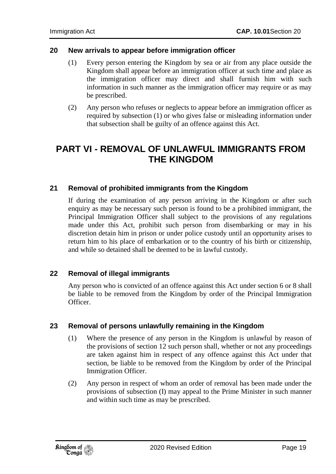#### <span id="page-18-0"></span>**20 New arrivals to appear before immigration officer**

- (1) Every person entering the Kingdom by sea or air from any place outside the Kingdom shall appear before an immigration officer at such time and place as the immigration officer may direct and shall furnish him with such information in such manner as the immigration officer may require or as may be prescribed.
- (2) Any person who refuses or neglects to appear before an immigration officer as required by subsection (1) or who gives false or misleading information under that subsection shall be guilty of an offence against this Act.

### <span id="page-18-1"></span>**PART VI - REMOVAL OF UNLAWFUL IMMIGRANTS FROM THE KINGDOM**

#### <span id="page-18-2"></span>**21 Removal of prohibited immigrants from the Kingdom**

If during the examination of any person arriving in the Kingdom or after such enquiry as may be necessary such person is found to be a prohibited immigrant, the Principal Immigration Officer shall subject to the provisions of any regulations made under this Act, prohibit such person from disembarking or may in his discretion detain him in prison or under police custody until an opportunity arises to return him to his place of embarkation or to the country of his birth or citizenship, and while so detained shall be deemed to be in lawful custody.

#### <span id="page-18-3"></span>**22 Removal of illegal immigrants**

Any person who is convicted of an offence against this Act under section 6 or 8 shall be liable to be removed from the Kingdom by order of the Principal Immigration Officer.

#### <span id="page-18-4"></span>**23 Removal of persons unlawfully remaining in the Kingdom**

- (1) Where the presence of any person in the Kingdom is unlawful by reason of the provisions of section 12 such person shall, whether or not any proceedings are taken against him in respect of any offence against this Act under that section, be liable to be removed from the Kingdom by order of the Principal Immigration Officer.
- (2) Any person in respect of whom an order of removal has been made under the provisions of subsection (I) may appeal to the Prime Minister in such manner and within such time as may be prescribed.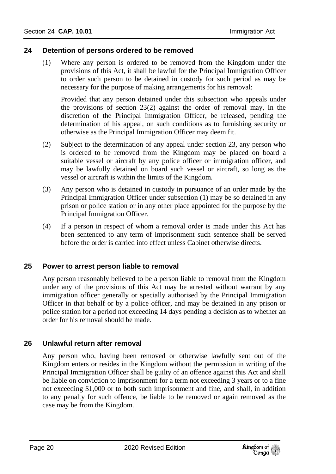#### <span id="page-19-0"></span>**24 Detention of persons ordered to be removed**

(1) Where any person is ordered to be removed from the Kingdom under the provisions of this Act, it shall be lawful for the Principal Immigration Officer to order such person to be detained in custody for such period as may be necessary for the purpose of making arrangements for his removal:

Provided that any person detained under this subsection who appeals under the provisions of section 23(2) against the order of removal may, in the discretion of the Principal Immigration Officer, be released, pending the determination of his appeal, on such conditions as to furnishing security or otherwise as the Principal Immigration Officer may deem fit.

- (2) Subject to the determination of any appeal under section 23, any person who is ordered to be removed from the Kingdom may be placed on board a suitable vessel or aircraft by any police officer or immigration officer, and may be lawfully detained on board such vessel or aircraft, so long as the vessel or aircraft is within the limits of the Kingdom.
- (3) Any person who is detained in custody in pursuance of an order made by the Principal Immigration Officer under subsection (1) may be so detained in any prison or police station or in any other place appointed for the purpose by the Principal Immigration Officer.
- (4) If a person in respect of whom a removal order is made under this Act has been sentenced to any term of imprisonment such sentence shall be served before the order is carried into effect unless Cabinet otherwise directs.

#### <span id="page-19-1"></span>**25 Power to arrest person liable to removal**

Any person reasonably believed to be a person liable to removal from the Kingdom under any of the provisions of this Act may be arrested without warrant by any immigration officer generally or specially authorised by the Principal Immigration Officer in that behalf or by a police officer, and may be detained in any prison or police station for a period not exceeding 14 days pending a decision as to whether an order for his removal should be made.

#### <span id="page-19-2"></span>**26 Unlawful return after removal**

Any person who, having been removed or otherwise lawfully sent out of the Kingdom enters or resides in the Kingdom without the permission in writing of the Principal Immigration Officer shall be guilty of an offence against this Act and shall be liable on conviction to imprisonment for a term not exceeding 3 years or to a fine not exceeding \$1,000 or to both such imprisonment and fine, and shall, in addition to any penalty for such offence, be liable to be removed or again removed as the case may be from the Kingdom.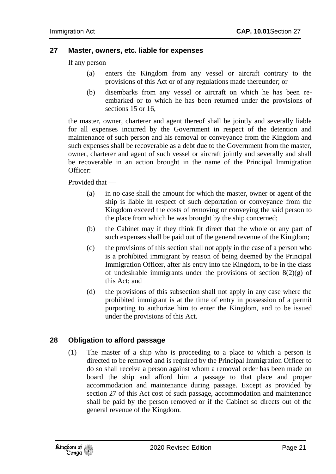#### <span id="page-20-0"></span>**27 Master, owners, etc. liable for expenses**

If any person —

- (a) enters the Kingdom from any vessel or aircraft contrary to the provisions of this Act or of any regulations made thereunder; or
- (b) disembarks from any vessel or aircraft on which he has been reembarked or to which he has been returned under the provisions of sections 15 or 16.

the master, owner, charterer and agent thereof shall be jointly and severally liable for all expenses incurred by the Government in respect of the detention and maintenance of such person and his removal or conveyance from the Kingdom and such expenses shall be recoverable as a debt due to the Government from the master, owner, charterer and agent of such vessel or aircraft jointly and severally and shall be recoverable in an action brought in the name of the Principal Immigration Officer:

Provided that —

- (a) in no case shall the amount for which the master, owner or agent of the ship is liable in respect of such deportation or conveyance from the Kingdom exceed the costs of removing or conveying the said person to the place from which he was brought by the ship concerned;
- (b) the Cabinet may if they think fit direct that the whole or any part of such expenses shall be paid out of the general revenue of the Kingdom;
- (c) the provisions of this section shall not apply in the case of a person who is a prohibited immigrant by reason of being deemed by the Principal Immigration Officer, after his entry into the Kingdom, to be in the class of undesirable immigrants under the provisions of section  $8(2)(g)$  of this Act; and
- (d) the provisions of this subsection shall not apply in any case where the prohibited immigrant is at the time of entry in possession of a permit purporting to authorize him to enter the Kingdom, and to be issued under the provisions of this Act.

#### <span id="page-20-1"></span>**28 Obligation to afford passage**

(1) The master of a ship who is proceeding to a place to which a person is directed to be removed and is required by the Principal Immigration Officer to do so shall receive a person against whom a removal order has been made on board the ship and afford him a passage to that place and proper accommodation and maintenance during passage. Except as provided by section 27 of this Act cost of such passage, accommodation and maintenance shall be paid by the person removed or if the Cabinet so directs out of the general revenue of the Kingdom.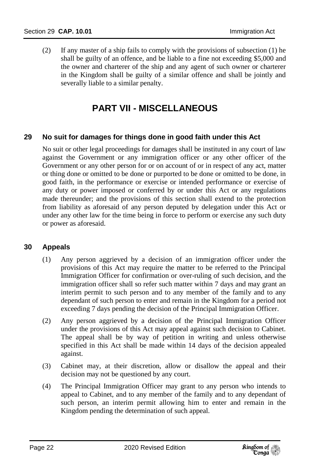(2) If any master of a ship fails to comply with the provisions of subsection (1) he shall be guilty of an offence, and be liable to a fine not exceeding \$5,000 and the owner and charterer of the ship and any agent of such owner or charterer in the Kingdom shall be guilty of a similar offence and shall be jointly and severally liable to a similar penalty.

# **PART VII - MISCELLANEOUS**

#### <span id="page-21-1"></span><span id="page-21-0"></span>**29 No suit for damages for things done in good faith under this Act**

No suit or other legal proceedings for damages shall be instituted in any court of law against the Government or any immigration officer or any other officer of the Government or any other person for or on account of or in respect of any act, matter or thing done or omitted to be done or purported to be done or omitted to be done, in good faith, in the performance or exercise or intended performance or exercise of any duty or power imposed or conferred by or under this Act or any regulations made thereunder; and the provisions of this section shall extend to the protection from liability as aforesaid of any person deputed by delegation under this Act or under any other law for the time being in force to perform or exercise any such duty or power as aforesaid.

#### <span id="page-21-2"></span>**30 Appeals**

- (1) Any person aggrieved by a decision of an immigration officer under the provisions of this Act may require the matter to be referred to the Principal Immigration Officer for confirmation or over-ruling of such decision, and the immigration officer shall so refer such matter within 7 days and may grant an interim permit to such person and to any member of the family and to any dependant of such person to enter and remain in the Kingdom for a period not exceeding 7 days pending the decision of the Principal Immigration Officer.
- (2) Any person aggrieved by a decision of the Principal Immigration Officer under the provisions of this Act may appeal against such decision to Cabinet. The appeal shall be by way of petition in writing and unless otherwise specified in this Act shall be made within 14 days of the decision appealed against.
- (3) Cabinet may, at their discretion, allow or disallow the appeal and their decision may not be questioned by any court.
- (4) The Principal Immigration Officer may grant to any person who intends to appeal to Cabinet, and to any member of the family and to any dependant of such person, an interim permit allowing him to enter and remain in the Kingdom pending the determination of such appeal.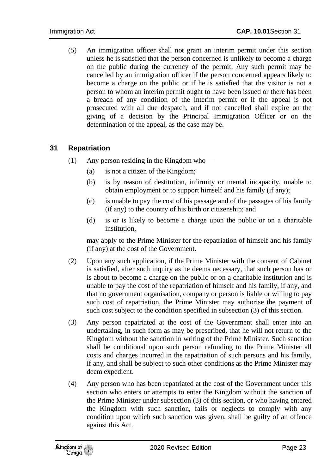(5) An immigration officer shall not grant an interim permit under this section unless he is satisfied that the person concerned is unlikely to become a charge on the public during the currency of the permit. Any such permit may be cancelled by an immigration officer if the person concerned appears likely to become a charge on the public or if he is satisfied that the visitor is not a person to whom an interim permit ought to have been issued or there has been a breach of any condition of the interim permit or if the appeal is not prosecuted with all due despatch, and if not cancelled shall expire on the giving of a decision by the Principal Immigration Officer or on the determination of the appeal, as the case may be.

#### <span id="page-22-0"></span>**31 Repatriation**

- (1) Any person residing in the Kingdom who
	- (a) is not a citizen of the Kingdom;
	- (b) is by reason of destitution, infirmity or mental incapacity, unable to obtain employment or to support himself and his family (if any);
	- (c) is unable to pay the cost of his passage and of the passages of his family (if any) to the country of his birth or citizenship; and
	- (d) is or is likely to become a charge upon the public or on a charitable institution,

may apply to the Prime Minister for the repatriation of himself and his family (if any) at the cost of the Government.

- (2) Upon any such application, if the Prime Minister with the consent of Cabinet is satisfied, after such inquiry as he deems necessary, that such person has or is about to become a charge on the public or on a charitable institution and is unable to pay the cost of the repatriation of himself and his family, if any, and that no government organisation, company or person is liable or willing to pay such cost of repatriation, the Prime Minister may authorise the payment of such cost subject to the condition specified in subsection (3) of this section.
- (3) Any person repatriated at the cost of the Government shall enter into an undertaking, in such form as may be prescribed, that he will not return to the Kingdom without the sanction in writing of the Prime Minister. Such sanction shall be conditional upon such person refunding to the Prime Minister all costs and charges incurred in the repatriation of such persons and his family, if any, and shall be subject to such other conditions as the Prime Minister may deem expedient.
- (4) Any person who has been repatriated at the cost of the Government under this section who enters or attempts to enter the Kingdom without the sanction of the Prime Minister under subsection (3) of this section, or who having entered the Kingdom with such sanction, fails or neglects to comply with any condition upon which such sanction was given, shall be guilty of an offence against this Act.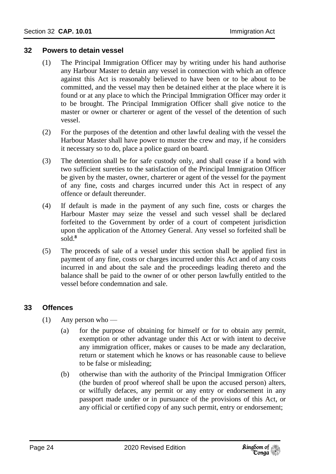#### <span id="page-23-0"></span>**32 Powers to detain vessel**

- (1) The Principal Immigration Officer may by writing under his hand authorise any Harbour Master to detain any vessel in connection with which an offence against this Act is reasonably believed to have been or to be about to be committed, and the vessel may then be detained either at the place where it is found or at any place to which the Principal Immigration Officer may order it to be brought. The Principal Immigration Officer shall give notice to the master or owner or charterer or agent of the vessel of the detention of such vessel.
- (2) For the purposes of the detention and other lawful dealing with the vessel the Harbour Master shall have power to muster the crew and may, if he considers it necessary so to do, place a police guard on board.
- (3) The detention shall be for safe custody only, and shall cease if a bond with two sufficient sureties to the satisfaction of the Principal Immigration Officer be given by the master, owner, charterer or agent of the vessel for the payment of any fine, costs and charges incurred under this Act in respect of any offence or default thereunder.
- (4) If default is made in the payment of any such fine, costs or charges the Harbour Master may seize the vessel and such vessel shall be declared forfeited to the Government by order of a court of competent jurisdiction upon the application of the Attorney General. Any vessel so forfeited shall be  $\frac{1}{2}$ sold<sup>8</sup>
- (5) The proceeds of sale of a vessel under this section shall be applied first in payment of any fine, costs or charges incurred under this Act and of any costs incurred in and about the sale and the proceedings leading thereto and the balance shall be paid to the owner of or other person lawfully entitled to the vessel before condemnation and sale.

#### <span id="page-23-1"></span>**33 Offences**

- (1) Any person who
	- (a) for the purpose of obtaining for himself or for to obtain any permit, exemption or other advantage under this Act or with intent to deceive any immigration officer, makes or causes to be made any declaration, return or statement which he knows or has reasonable cause to believe to be false or misleading;
	- (b) otherwise than with the authority of the Principal Immigration Officer (the burden of proof whereof shall be upon the accused person) alters, or wilfully defaces, any permit or any entry or endorsement in any passport made under or in pursuance of the provisions of this Act, or any official or certified copy of any such permit, entry or endorsement;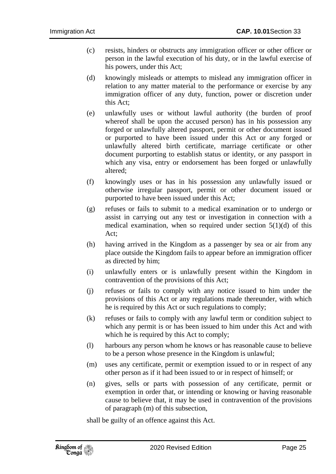- (c) resists, hinders or obstructs any immigration officer or other officer or person in the lawful execution of his duty, or in the lawful exercise of his powers, under this Act;
- (d) knowingly misleads or attempts to mislead any immigration officer in relation to any matter material to the performance or exercise by any immigration officer of any duty, function, power or discretion under this Act;
- (e) unlawfully uses or without lawful authority (the burden of proof whereof shall be upon the accused person) has in his possession any forged or unlawfully altered passport, permit or other document issued or purported to have been issued under this Act or any forged or unlawfully altered birth certificate, marriage certificate or other document purporting to establish status or identity, or any passport in which any visa, entry or endorsement has been forged or unlawfully altered;
- (f) knowingly uses or has in his possession any unlawfully issued or otherwise irregular passport, permit or other document issued or purported to have been issued under this Act;
- (g) refuses or fails to submit to a medical examination or to undergo or assist in carrying out any test or investigation in connection with a medical examination, when so required under section 5(1)(d) of this Act;
- (h) having arrived in the Kingdom as a passenger by sea or air from any place outside the Kingdom fails to appear before an immigration officer as directed by him;
- (i) unlawfully enters or is unlawfully present within the Kingdom in contravention of the provisions of this Act;
- (j) refuses or fails to comply with any notice issued to him under the provisions of this Act or any regulations made thereunder, with which he is required by this Act or such regulations to comply;
- (k) refuses or fails to comply with any lawful term or condition subject to which any permit is or has been issued to him under this Act and with which he is required by this Act to comply;
- (l) harbours any person whom he knows or has reasonable cause to believe to be a person whose presence in the Kingdom is unlawful;
- (m) uses any certificate, permit or exemption issued to or in respect of any other person as if it had been issued to or in respect of himself; or
- (n) gives, sells or parts with possession of any certificate, permit or exemption in order that, or intending or knowing or having reasonable cause to believe that, it may be used in contravention of the provisions of paragraph (m) of this subsection,

shall be guilty of an offence against this Act.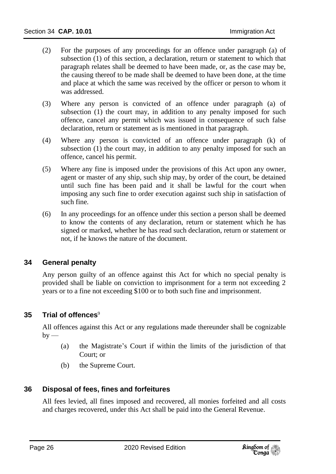- (2) For the purposes of any proceedings for an offence under paragraph (a) of subsection (1) of this section, a declaration, return or statement to which that paragraph relates shall be deemed to have been made, or, as the case may be, the causing thereof to be made shall be deemed to have been done, at the time and place at which the same was received by the officer or person to whom it was addressed.
- (3) Where any person is convicted of an offence under paragraph (a) of subsection (1) the court may, in addition to any penalty imposed for such offence, cancel any permit which was issued in consequence of such false declaration, return or statement as is mentioned in that paragraph.
- (4) Where any person is convicted of an offence under paragraph (k) of subsection (1) the court may, in addition to any penalty imposed for such an offence, cancel his permit.
- (5) Where any fine is imposed under the provisions of this Act upon any owner, agent or master of any ship, such ship may, by order of the court, be detained until such fine has been paid and it shall be lawful for the court when imposing any such fine to order execution against such ship in satisfaction of such fine.
- (6) In any proceedings for an offence under this section a person shall be deemed to know the contents of any declaration, return or statement which he has signed or marked, whether he has read such declaration, return or statement or not, if he knows the nature of the document.

#### <span id="page-25-0"></span>**34 General penalty**

Any person guilty of an offence against this Act for which no special penalty is provided shall be liable on conviction to imprisonment for a term not exceeding 2 years or to a fine not exceeding \$100 or to both such fine and imprisonment.

#### <span id="page-25-1"></span>**35 Trial of offences**<sup>9</sup>

All offences against this Act or any regulations made thereunder shall be cognizable  $by -$ 

- (a) the Magistrate's Court if within the limits of the jurisdiction of that Court; or
- (b) the Supreme Court.

#### <span id="page-25-2"></span>**36 Disposal of fees, fines and forfeitures**

All fees levied, all fines imposed and recovered, all monies forfeited and all costs and charges recovered, under this Act shall be paid into the General Revenue.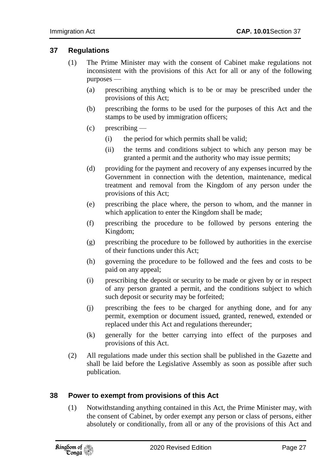#### <span id="page-26-0"></span>**37 Regulations**

- (1) The Prime Minister may with the consent of Cabinet make regulations not inconsistent with the provisions of this Act for all or any of the following purposes —
	- (a) prescribing anything which is to be or may be prescribed under the provisions of this Act;
	- (b) prescribing the forms to be used for the purposes of this Act and the stamps to be used by immigration officers;
	- (c) prescribing
		- (i) the period for which permits shall be valid;
		- (ii) the terms and conditions subject to which any person may be granted a permit and the authority who may issue permits;
	- (d) providing for the payment and recovery of any expenses incurred by the Government in connection with the detention, maintenance, medical treatment and removal from the Kingdom of any person under the provisions of this Act;
	- (e) prescribing the place where, the person to whom, and the manner in which application to enter the Kingdom shall be made;
	- (f) prescribing the procedure to be followed by persons entering the Kingdom;
	- (g) prescribing the procedure to be followed by authorities in the exercise of their functions under this Act;
	- (h) governing the procedure to be followed and the fees and costs to be paid on any appeal;
	- (i) prescribing the deposit or security to be made or given by or in respect of any person granted a permit, and the conditions subject to which such deposit or security may be forfeited;
	- (j) prescribing the fees to be charged for anything done, and for any permit, exemption or document issued, granted, renewed, extended or replaced under this Act and regulations thereunder;
	- (k) generally for the better carrying into effect of the purposes and provisions of this Act.
- (2) All regulations made under this section shall be published in the Gazette and shall be laid before the Legislative Assembly as soon as possible after such publication.

#### <span id="page-26-1"></span>**38 Power to exempt from provisions of this Act**

(1) Notwithstanding anything contained in this Act, the Prime Minister may, with the consent of Cabinet, by order exempt any person or class of persons, either absolutely or conditionally, from all or any of the provisions of this Act and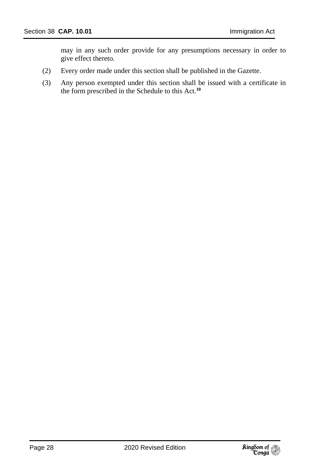may in any such order provide for any presumptions necessary in order to give effect thereto.

- (2) Every order made under this section shall be published in the Gazette.
- (3) Any person exempted under this section shall be issued with a certificate in the form prescribed in the Schedule to this Act.**10**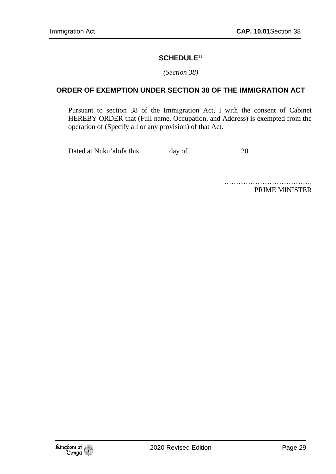#### **SCHEDULE**<sup>11</sup>

*(Section 38)*

#### **ORDER OF EXEMPTION UNDER SECTION 38 OF THE IMMIGRATION ACT**

Pursuant to section 38 of the Immigration Act, I with the consent of Cabinet HEREBY ORDER that (Full name, Occupation, and Address) is exempted from the operation of (Specify all or any provision) of that Act.

Dated at Nuku'alofa this day of 20

………………………………………… PRIME MINISTER